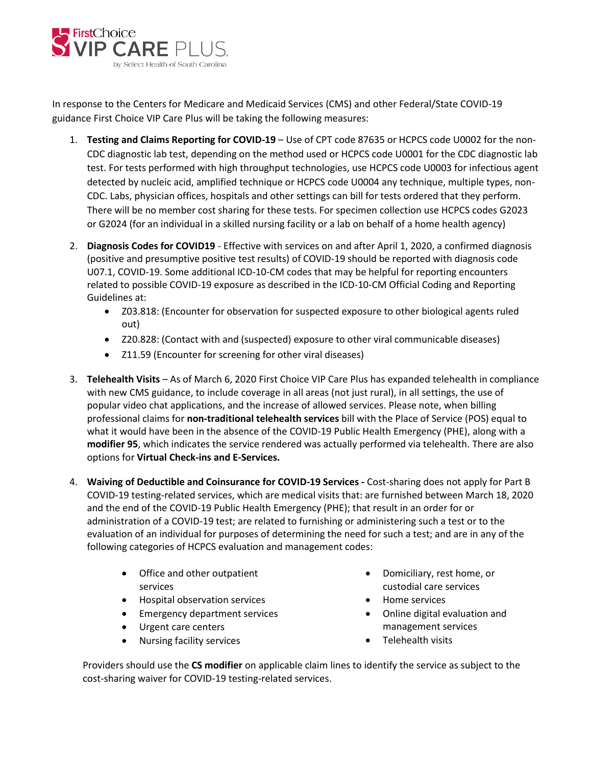

In response to the Centers for Medicare and Medicaid Services (CMS) and other Federal/State COVID-19 guidance First Choice VIP Care Plus will be taking the following measures:

- 1. **Testing and Claims Reporting for COVID-19** Use of CPT code 87635 or HCPCS code U0002 for the non-CDC diagnostic lab test, depending on the method used or HCPCS code U0001 for the CDC diagnostic lab test. For tests performed with high throughput technologies, use HCPCS code U0003 for infectious agent detected by nucleic acid, amplified technique or HCPCS code U0004 any technique, multiple types, non-CDC. Labs, physician offices, hospitals and other settings can bill for tests ordered that they perform. There will be no member cost sharing for these tests. For specimen collection use HCPCS codes G2023 or G2024 (for an individual in a skilled nursing facility or a lab on behalf of a home health agency)
- 2. **Diagnosis Codes for COVID19**  Effective with services on and after April 1, 2020, a confirmed diagnosis (positive and presumptive positive test results) of COVID-19 should be reported with diagnosis code U07.1, COVID-19. Some additional ICD-10-CM codes that may be helpful for reporting encounters related to possible COVID-19 exposure as described in the ICD-10-CM Official Coding and Reporting Guidelines at:
	- Z03.818: (Encounter for observation for suspected exposure to other biological agents ruled out)
	- Z20.828: (Contact with and (suspected) exposure to other viral communicable diseases)
	- Z11.59 (Encounter for screening for other viral diseases)
- 3. **Telehealth Visits** As of March 6, 2020 First Choice VIP Care Plus has expanded telehealth in compliance with new CMS guidance, to include coverage in all areas (not just rural), in all settings, the use of popular video chat applications, and the increase of allowed services. Please note, when billing professional claims for **non-traditional telehealth services** bill with the Place of Service (POS) equal to what it would have been in the absence of the COVID-19 Public Health Emergency (PHE), along with a **modifier 95**, which indicates the service rendered was actually performed via telehealth. There are also options for **Virtual Check-ins and E-Services.**
- 4. **Waiving of Deductible and Coinsurance for COVID-19 Services -** Cost-sharing does not apply for Part B COVID-19 testing-related services, which are medical visits that: are furnished between March 18, 2020 and the end of the COVID-19 Public Health Emergency (PHE); that result in an order for or administration of a COVID-19 test; are related to furnishing or administering such a test or to the evaluation of an individual for purposes of determining the need for such a test; and are in any of the following categories of HCPCS evaluation and management codes:
	- Office and other outpatient services
	- Hospital observation services
	- Emergency department services
	- Urgent care centers
	- Nursing facility services
- Domiciliary, rest home, or custodial care services
- Home services
- Online digital evaluation and management services
- Telehealth visits

Providers should use the **CS modifier** on applicable claim lines to identify the service as subject to the cost-sharing waiver for COVID-19 testing-related services.